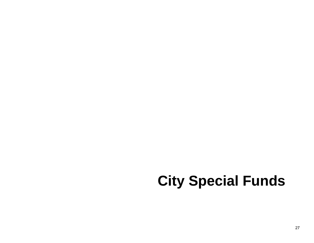# **City Special Funds**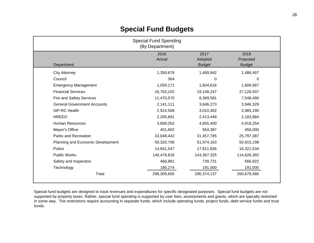| <b>Special Fund Spending</b><br>(By Department) |                |                                  |                                   |  |  |
|-------------------------------------------------|----------------|----------------------------------|-----------------------------------|--|--|
| Department                                      | 2016<br>Actual | 2017<br>Adopted<br><b>Budget</b> | 2018<br>Proposed<br><b>Budget</b> |  |  |
| <b>City Attorney</b>                            | 1,350,676      | 1,469,942                        | 1,486,497                         |  |  |
| Council                                         | 364            | 0                                | 0                                 |  |  |
| <b>Emergency Management</b>                     | 1,059,171      | 1,604,616                        | 1,609,567                         |  |  |
| <b>Financial Services</b>                       | 18,763,102     | 19,108,247                       | 27,126,937                        |  |  |
| Fire and Safety Services                        | 11,470,570     | 8,369,581                        | 7,548,490                         |  |  |
| <b>General Government Accounts</b>              | 2,141,111      | 3,646,273                        | 3,946,329                         |  |  |
| StP-RC Health                                   | 2,914,508      | 3,010,402                        | 2,985,190                         |  |  |
| <b>HREEO</b>                                    | 2,205,681      | 2,413,449                        | 2,183,884                         |  |  |
| <b>Human Resources</b>                          | 3,668,052      | 4,655,400                        | 4,918,254                         |  |  |
| Mayor's Office                                  | 401,602        | 554,387                          | 456,000                           |  |  |
| Parks and Recreation                            | 33,048,442     | 31,457,785                       | 25,797,387                        |  |  |
| Planning and Economic Development               | 59,320,706     | 51,974,163                       | 50,915,198                        |  |  |
| Police                                          | 14,841,547     | 17,811,836                       | 16,321,534                        |  |  |
| <b>Public Works</b>                             | 146,476,816    | 143,367,325                      | 114,626,392                       |  |  |
| Safety and Inspection                           | 466,981        | 739,731                          | 566,922                           |  |  |
| Technology                                      | 180,274        | 191,000                          | 191,000                           |  |  |
| Total                                           | 298,309,605    | 290,374,137                      | 260,679,580                       |  |  |

Special fund budgets are designed to track revenues and expenditures for specific designated purposes. Special fund budgets are not supported by property taxes. Rather, special fund spending is supported by user fees, assessments and grants, which are typically restricted in some way. The restrictions require accounting in separate funds, which include operating funds, project funds, debt service funds and trust funds.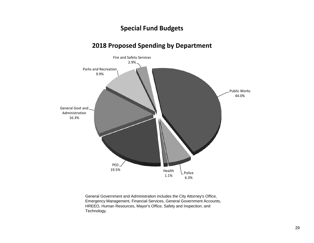#### **2018 Proposed Spending by Department**



General Government and Administration includes the City Attorney's Office, Emergency Management, Financial Services, General Government Accounts, HREEO, Human Resources, Mayor's Office, Safety and Inspection, and Technology.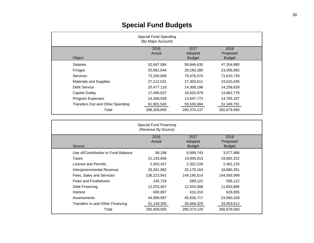|                                  | <b>Special Fund Spending</b><br>(By Major Account) |                          |                           |  |
|----------------------------------|----------------------------------------------------|--------------------------|---------------------------|--|
|                                  | 2016<br>Actual                                     | 2017                     | 2018                      |  |
| Object                           |                                                    | Adopted<br><b>Budget</b> | Proposed<br><b>Budget</b> |  |
| <b>Salaries</b>                  | 52,687,584                                         | 56,846,635               | 47,204,890                |  |
| Fringes                          | 25,981,044                                         | 28,160,286               | 23,006,992                |  |
| <b>Services</b>                  | 73,200,606                                         | 76,076,574               | 71,610,729                |  |
| <b>Materials and Supplies</b>    | 27,212,531                                         | 27,303,611               | 23,620,435                |  |
| <b>Debt Service</b>              | 25,477,118                                         | 14,306,196               | 14,258,629                |  |
| Capital Outlay                   | 17,480,637                                         | 18,502,979               | 14,862,778                |  |
| Program Expenses                 | 14,368,539                                         | 13,647,772               | 14,765,337                |  |
| Transfers Out and Other Spending | 61,901,545                                         | 55,530,084               | 51,349,791                |  |
| Total                            | 298,309,605                                        | 290,374,137              | 260,679,580               |  |

|                                     | Special Fund Financing<br>(Revenue By Source) |                                  |                                   |  |
|-------------------------------------|-----------------------------------------------|----------------------------------|-----------------------------------|--|
| Source                              | 2016<br>Actual                                | 2017<br>Adopted<br><b>Budget</b> | 2018<br>Proposed<br><b>Budget</b> |  |
| Use of/Contribution to Fund Balance | 58,198                                        | 8,999,743                        | 3,577,866                         |  |
| Taxes                               | 21,193,656                                    | 19,845,915                       | 19,892,322                        |  |
| License and Permits                 | 2,303,437                                     | 2,352,228                        | 2,461,233                         |  |
| Intergovernmental Revenue           | 26,291,982                                    | 25,176,164                       | 18,680,351                        |  |
| Fees, Sales and Services            | 136,223,941                                   | 144,195,514                      | 144,593,999                       |  |
| <b>Fines and Forefeitures</b>       | 245,724                                       | 589,122                          | 556,122                           |  |
| Debt Financing                      | 12,253,407                                    | 12,503,088                       | 11,653,895                        |  |
| Interest                            | 690,697                                       | 616,310                          | 629,855                           |  |
| Assessments                         | 44,999,587                                    | 45,626,717                       | 24,680,328                        |  |
| Transfers In and Other Financing    | 51,149,305                                    | 30,469,329                       | 33,953,612                        |  |
| Total                               | 295,409,935                                   | 290,374,129                      | 260,679,583                       |  |